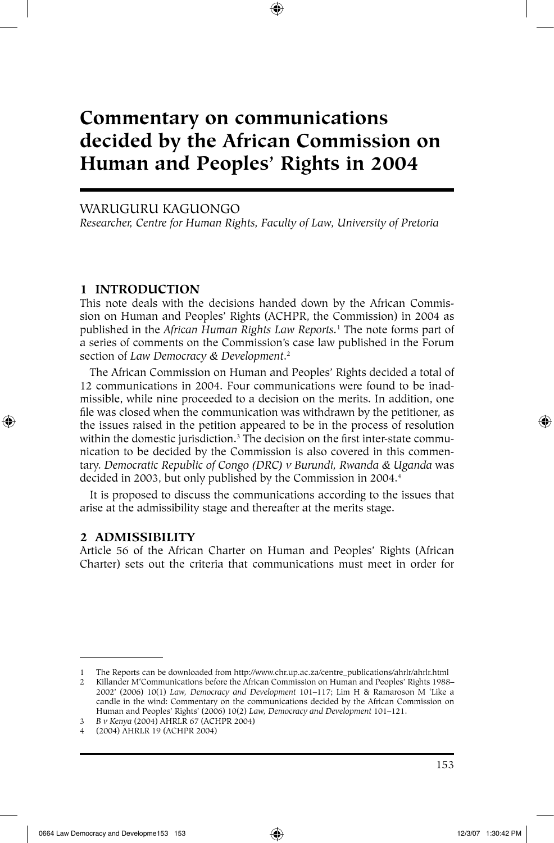# **Commentary on communications decided by the African Commission on Human and Peoples' Rights in 2004**

⊕

## WARUGURU KAGUONGO

*Researcher, Centre for Human Rights, Faculty of Law, University of Pretoria*

## **1 INTRODUCTION**

This note deals with the decisions handed down by the African Commission on Human and Peoples' Rights (ACHPR, the Commission) in 2004 as published in the *African Human Rights Law Reports.*<sup>1</sup> The note forms part of a series of comments on the Commission's case law published in the Forum section of *Law Democracy & Development*. 2

The African Commission on Human and Peoples' Rights decided a total of 12 communications in 2004. Four communications were found to be inadmissible, while nine proceeded to a decision on the merits. In addition, one file was closed when the communication was withdrawn by the petitioner, as the issues raised in the petition appeared to be in the process of resolution within the domestic jurisdiction.3 The decision on the first inter-state communication to be decided by the Commission is also covered in this commentary. *Democratic Republic of Congo (DRC) v Burundi, Rwanda & Uganda* was decided in 2003, but only published by the Commission in 2004.<sup>4</sup>

It is proposed to discuss the communications according to the issues that arise at the admissibility stage and thereafter at the merits stage.

## **2 ADMISSIBILITY**

⊕

Article 56 of the African Charter on Human and Peoples' Rights (African Charter) sets out the criteria that communications must meet in order for

<sup>1</sup> The Reports can be downloaded from http://www.chr.up.ac.za/centre\_publications/ahrlr/ahrlr.html 2 Killander M'Communications before the African Commission on Human and Peoples' Rights 1988–

<sup>2002&#</sup>x27; (2006) 10(1) *Law, Democracy and Development* 101–117; Lim H & Ramaroson M 'Like a candle in the wind: Commentary on the communications decided by the African Commission on Human and Peoples' Rights' (2006) 10(2) *Law, Democracy and Development* 101–121. 3 *B v Kenya* (2004) AHRLR 67 (ACHPR 2004)

<sup>4 (2004)</sup> AHRLR 19 (ACHPR 2004)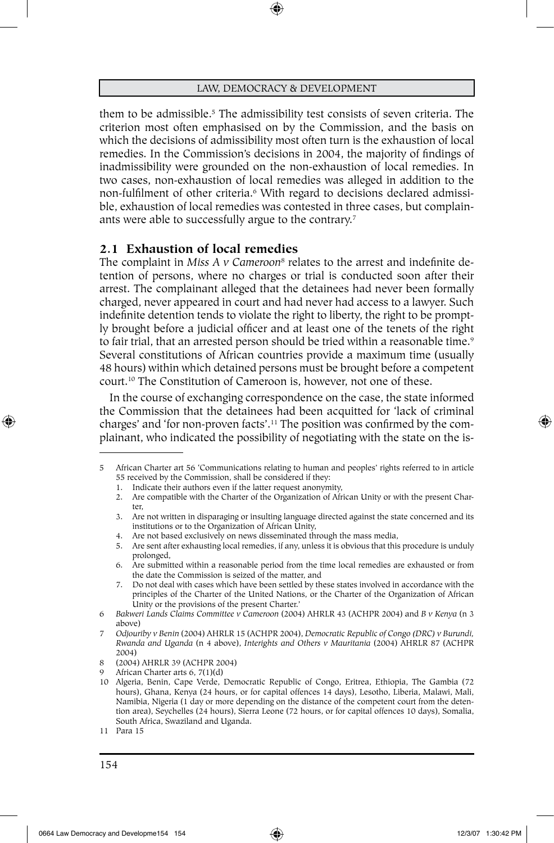them to be admissible.5 The admissibility test consists of seven criteria. The criterion most often emphasised on by the Commission, and the basis on which the decisions of admissibility most often turn is the exhaustion of local remedies. In the Commission's decisions in 2004, the majority of findings of inadmissibility were grounded on the non-exhaustion of local remedies. In two cases, non-exhaustion of local remedies was alleged in addition to the non-fulfilment of other criteria.6 With regard to decisions declared admissible, exhaustion of local remedies was contested in three cases, but complainants were able to successfully argue to the contrary.<sup>7</sup>

# **2.1 Exhaustion of local remedies**

The complaint in *Miss A v Cameroon<sup>8</sup>* relates to the arrest and indefinite detention of persons, where no charges or trial is conducted soon after their arrest. The complainant alleged that the detainees had never been formally charged, never appeared in court and had never had access to a lawyer. Such indefinite detention tends to violate the right to liberty, the right to be promptly brought before a judicial officer and at least one of the tenets of the right to fair trial, that an arrested person should be tried within a reasonable time.<sup>9</sup> Several constitutions of African countries provide a maximum time (usually 48 hours) within which detained persons must be brought before a competent court.10 The Constitution of Cameroon is, however, not one of these.

In the course of exchanging correspondence on the case, the state informed the Commission that the detainees had been acquitted for 'lack of criminal charges' and 'for non-proven facts'.11 The position was confirmed by the complainant, who indicated the possibility of negotiating with the state on the is-

7. Do not deal with cases which have been settled by these states involved in accordance with the principles of the Charter of the United Nations, or the Charter of the Organization of African Unity or the provisions of the present Charter.'

<sup>5</sup> African Charter art 56 'Communications relating to human and peoples' rights referred to in article 55 received by the Commission, shall be considered if they:

<sup>1.</sup> Indicate their authors even if the latter request anonymity,

<sup>2.</sup> Are compatible with the Charter of the Organization of African Unity or with the present Charter,

<sup>3.</sup> Are not written in disparaging or insulting language directed against the state concerned and its institutions or to the Organization of African Unity,

<sup>4.</sup> Are not based exclusively on news disseminated through the mass media,

<sup>5.</sup> Are sent after exhausting local remedies, if any, unless it is obvious that this procedure is unduly prolonged,

<sup>6.</sup> Are submitted within a reasonable period from the time local remedies are exhausted or from the date the Commission is seized of the matter, and

<sup>6</sup> *Bakweri Lands Claims Committee v Cameroon* (2004) AHRLR 43 (ACHPR 2004) and *B v Kenya* (n 3 above)

<sup>7</sup> *Odjouriby v Benin* (2004) AHRLR 15 (ACHPR 2004), *Democratic Republic of Congo (DRC) v Burundi, Rwanda and Uganda* (n 4 above), *Interights and Others v Mauritania* (2004) AHRLR 87 (ACHPR 2004)

<sup>8 (2004)</sup> AHRLR 39 (ACHPR 2004)

African Charter arts 6, 7(1)(d)

<sup>10</sup> Algeria, Benin, Cape Verde, Democratic Republic of Congo, Eritrea, Ethiopia, The Gambia (72 hours), Ghana, Kenya (24 hours, or for capital offences 14 days), Lesotho, Liberia, Malawi, Mali, Namibia, Nigeria (1 day or more depending on the distance of the competent court from the detention area), Seychelles (24 hours), Sierra Leone (72 hours, or for capital offences 10 days), Somalia, South Africa, Swaziland and Uganda.

<sup>11</sup> Para 15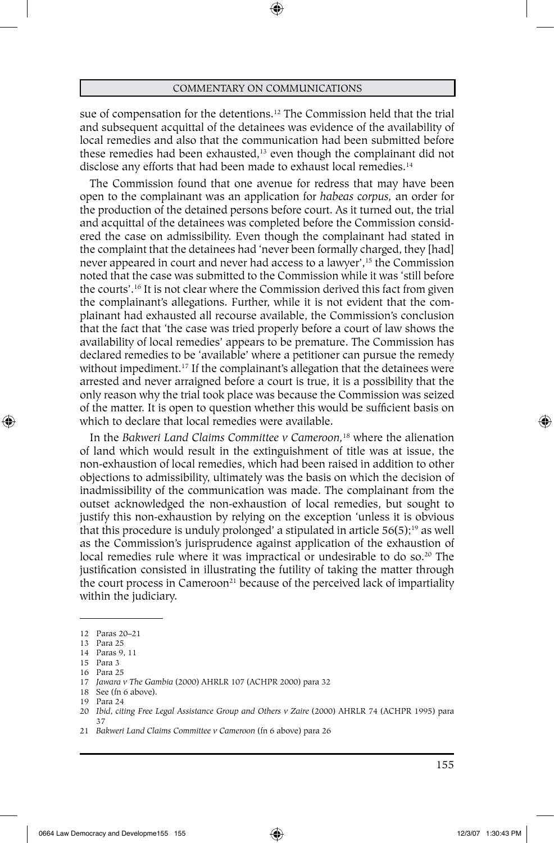⊕

sue of compensation for the detentions.12 The Commission held that the trial and subsequent acquittal of the detainees was evidence of the availability of local remedies and also that the communication had been submitted before these remedies had been exhausted,<sup>13</sup> even though the complainant did not disclose any efforts that had been made to exhaust local remedies.<sup>14</sup>

The Commission found that one avenue for redress that may have been open to the complainant was an application for *habeas corpus,* an order for the production of the detained persons before court. As it turned out, the trial and acquittal of the detainees was completed before the Commission considered the case on admissibility. Even though the complainant had stated in the complaint that the detainees had 'never been formally charged, they [had] never appeared in court and never had access to a lawyer',<sup>15</sup> the Commission noted that the case was submitted to the Commission while it was 'still before the courts'.16 It is not clear where the Commission derived this fact from given the complainant's allegations. Further, while it is not evident that the complainant had exhausted all recourse available, the Commission's conclusion that the fact that 'the case was tried properly before a court of law shows the availability of local remedies' appears to be premature. The Commission has declared remedies to be 'available' where a petitioner can pursue the remedy without impediment.<sup>17</sup> If the complainant's allegation that the detainees were arrested and never arraigned before a court is true, it is a possibility that the only reason why the trial took place was because the Commission was seized of the matter. It is open to question whether this would be sufficient basis on which to declare that local remedies were available.

In the *Bakweri Land Claims Committee v Cameroon,*18 where the alienation of land which would result in the extinguishment of title was at issue, the non-exhaustion of local remedies, which had been raised in addition to other objections to admissibility, ultimately was the basis on which the decision of inadmissibility of the communication was made. The complainant from the outset acknowledged the non-exhaustion of local remedies, but sought to justify this non-exhaustion by relying on the exception 'unless it is obvious that this procedure is unduly prolonged' a stipulated in article  $56(5)$ ;<sup>19</sup> as well as the Commission's jurisprudence against application of the exhaustion of local remedies rule where it was impractical or undesirable to do so.<sup>20</sup> The justification consisted in illustrating the futility of taking the matter through the court process in Cameroon<sup>21</sup> because of the perceived lack of impartiality within the judiciary.

⊕

<sup>12</sup> Paras 20–21

<sup>13</sup> Para 25

<sup>14</sup> Paras 9, 11 15 Para 3

<sup>16</sup> Para 25

<sup>17</sup> *Jawara v The Gambia* (2000) AHRLR 107 (ACHPR 2000) para 32

<sup>18</sup> See (fn 6 above).

<sup>19</sup> Para 24

<sup>20</sup> *Ibid*, *citing Free Legal Assistance Group and Others v Zaire* (2000) AHRLR 74 (ACHPR 1995) para 37

<sup>21</sup> *Bakweri Land Claims Committee v Cameroon* (fn 6 above) para 26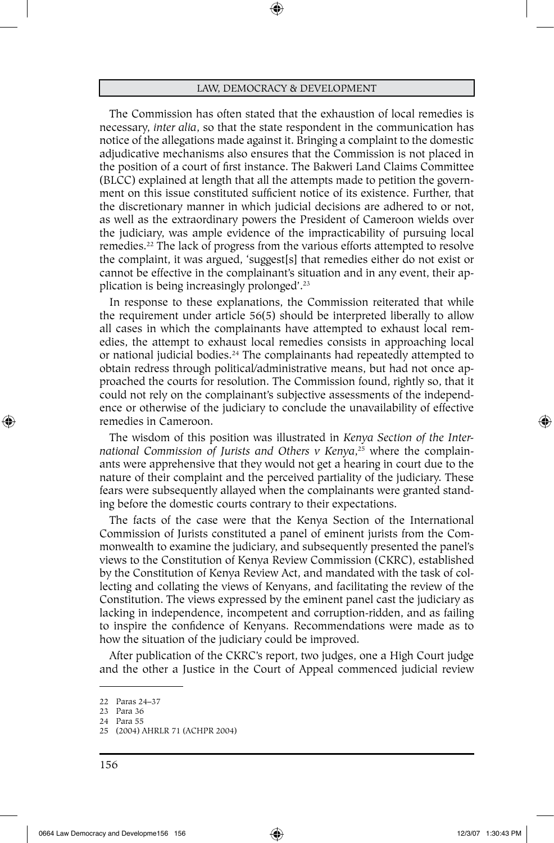⊕

The Commission has often stated that the exhaustion of local remedies is necessary, *inter alia*, so that the state respondent in the communication has notice of the allegations made against it. Bringing a complaint to the domestic adjudicative mechanisms also ensures that the Commission is not placed in the position of a court of first instance. The Bakweri Land Claims Committee (BLCC) explained at length that all the attempts made to petition the government on this issue constituted sufficient notice of its existence. Further, that the discretionary manner in which judicial decisions are adhered to or not, as well as the extraordinary powers the President of Cameroon wields over the judiciary, was ample evidence of the impracticability of pursuing local remedies.22 The lack of progress from the various efforts attempted to resolve the complaint, it was argued, 'suggest[s] that remedies either do not exist or cannot be effective in the complainant's situation and in any event, their application is being increasingly prolonged'.23

In response to these explanations, the Commission reiterated that while the requirement under article 56(5) should be interpreted liberally to allow all cases in which the complainants have attempted to exhaust local remedies, the attempt to exhaust local remedies consists in approaching local or national judicial bodies.24 The complainants had repeatedly attempted to obtain redress through political/administrative means, but had not once approached the courts for resolution. The Commission found, rightly so, that it could not rely on the complainant's subjective assessments of the independence or otherwise of the judiciary to conclude the unavailability of effective remedies in Cameroon.

The wisdom of this position was illustrated in *Kenya Section of the International Commission of Jurists and Others v Kenya*, 25 where the complainants were apprehensive that they would not get a hearing in court due to the nature of their complaint and the perceived partiality of the judiciary. These fears were subsequently allayed when the complainants were granted standing before the domestic courts contrary to their expectations.

The facts of the case were that the Kenya Section of the International Commission of Jurists constituted a panel of eminent jurists from the Commonwealth to examine the judiciary, and subsequently presented the panel's views to the Constitution of Kenya Review Commission (CKRC), established by the Constitution of Kenya Review Act, and mandated with the task of collecting and collating the views of Kenyans, and facilitating the review of the Constitution. The views expressed by the eminent panel cast the judiciary as lacking in independence, incompetent and corruption-ridden, and as failing to inspire the confidence of Kenyans. Recommendations were made as to how the situation of the judiciary could be improved.

After publication of the CKRC's report, two judges, one a High Court judge and the other a Justice in the Court of Appeal commenced judicial review

⊕

<sup>22</sup> Paras 24–37

<sup>23</sup> Para 36

<sup>24</sup> Para 55

<sup>25</sup> (2004) AHRLR 71 (ACHPR 2004)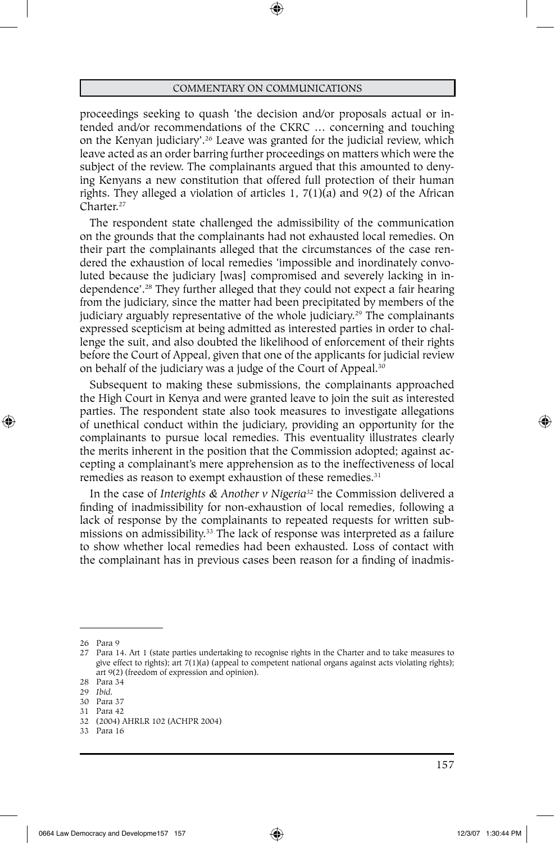proceedings seeking to quash 'the decision and/or proposals actual or intended and/or recommendations of the CKRC … concerning and touching on the Kenyan judiciary'.26 Leave was granted for the judicial review, which leave acted as an order barring further proceedings on matters which were the subject of the review. The complainants argued that this amounted to denying Kenyans a new constitution that offered full protection of their human rights. They alleged a violation of articles 1, 7(1)(a) and 9(2) of the African Charter.<sup>27</sup>

The respondent state challenged the admissibility of the communication on the grounds that the complainants had not exhausted local remedies. On their part the complainants alleged that the circumstances of the case rendered the exhaustion of local remedies 'impossible and inordinately convoluted because the judiciary [was] compromised and severely lacking in independence'.28 They further alleged that they could not expect a fair hearing from the judiciary, since the matter had been precipitated by members of the judiciary arguably representative of the whole judiciary.<sup>29</sup> The complainants expressed scepticism at being admitted as interested parties in order to challenge the suit, and also doubted the likelihood of enforcement of their rights before the Court of Appeal, given that one of the applicants for judicial review on behalf of the judiciary was a judge of the Court of Appeal.30

Subsequent to making these submissions, the complainants approached the High Court in Kenya and were granted leave to join the suit as interested parties. The respondent state also took measures to investigate allegations of unethical conduct within the judiciary, providing an opportunity for the complainants to pursue local remedies. This eventuality illustrates clearly the merits inherent in the position that the Commission adopted; against accepting a complainant's mere apprehension as to the ineffectiveness of local remedies as reason to exempt exhaustion of these remedies.<sup>31</sup>

In the case of *Interights & Another v Nigeria32* the Commission delivered a finding of inadmissibility for non-exhaustion of local remedies, following a lack of response by the complainants to repeated requests for written submissions on admissibility.33 The lack of response was interpreted as a failure to show whether local remedies had been exhausted. Loss of contact with the complainant has in previous cases been reason for a finding of inadmis-

⊕

- 30 Para 37
- 31 Para 42
- 32 (2004) AHRLR 102 (ACHPR 2004) 33 Para 16
- 

<sup>26</sup> Para 9

<sup>27</sup> Para 14. Art 1 (state parties undertaking to recognise rights in the Charter and to take measures to give effect to rights); art  $7(1)(a)$  (appeal to competent national organs against acts violating rights); art 9(2) (freedom of expression and opinion).

<sup>28</sup> Para 34

<sup>29</sup> *Ibid.*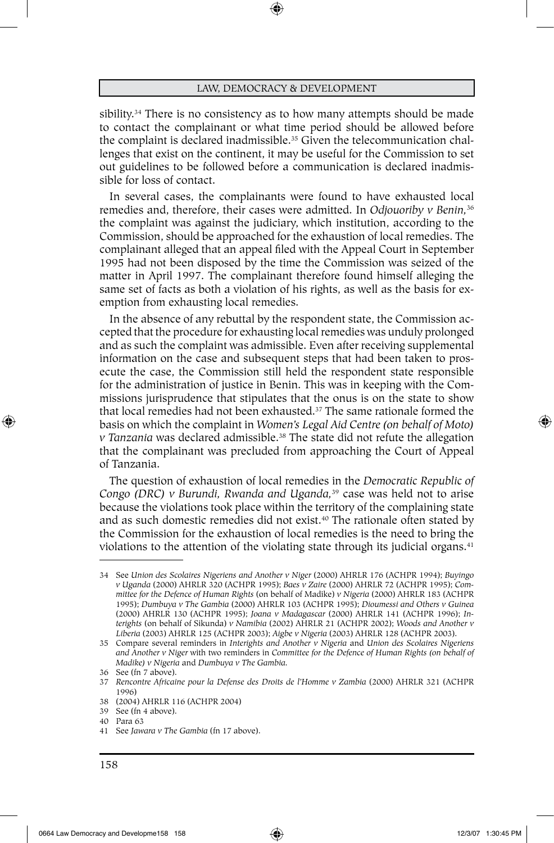sibility.<sup>34</sup> There is no consistency as to how many attempts should be made to contact the complainant or what time period should be allowed before the complaint is declared inadmissible.<sup>35</sup> Given the telecommunication challenges that exist on the continent, it may be useful for the Commission to set out guidelines to be followed before a communication is declared inadmissible for loss of contact.

In several cases, the complainants were found to have exhausted local remedies and, therefore, their cases were admitted. In *Odjouoriby v Benin,*<sup>36</sup> the complaint was against the judiciary, which institution, according to the Commission, should be approached for the exhaustion of local remedies. The complainant alleged that an appeal filed with the Appeal Court in September 1995 had not been disposed by the time the Commission was seized of the matter in April 1997. The complainant therefore found himself alleging the same set of facts as both a violation of his rights, as well as the basis for exemption from exhausting local remedies.

In the absence of any rebuttal by the respondent state, the Commission accepted that the procedure for exhausting local remedies was unduly prolonged and as such the complaint was admissible. Even after receiving supplemental information on the case and subsequent steps that had been taken to prosecute the case, the Commission still held the respondent state responsible for the administration of justice in Benin. This was in keeping with the Commissions jurisprudence that stipulates that the onus is on the state to show that local remedies had not been exhausted.37 The same rationale formed the basis on which the complaint in *Women's Legal Aid Centre (on behalf of Moto) v Tanzania* was declared admissible.38 The state did not refute the allegation that the complainant was precluded from approaching the Court of Appeal of Tanzania.

The question of exhaustion of local remedies in the *Democratic Republic of Congo (DRC) v Burundi, Rwanda and Uganda,*39 case was held not to arise because the violations took place within the territory of the complaining state and as such domestic remedies did not exist.<sup>40</sup> The rationale often stated by the Commission for the exhaustion of local remedies is the need to bring the violations to the attention of the violating state through its judicial organs.<sup>41</sup>

39 See (fn 4 above).

⊕

<sup>34</sup> See *Union des Scolaires Nigeriens and Another v Niger* (2000) AHRLR 176 (ACHPR 1994); *Buyingo v Uganda* (2000) AHRLR 320 (ACHPR 1995); *Baes v Zaire* (2000) AHRLR 72 (ACHPR 1995); *Committee for the Defence of Human Rights* (on behalf of Madike) *v Nigeria* (2000) AHRLR 183 (ACHPR 1995); *Dumbuya v The Gambia* (2000) AHRLR 103 (ACHPR 1995); *Dioumessi and Others v Guinea*  (2000) AHRLR 130 (ACHPR 1995); *Joana v Madagascar* (2000) AHRLR 141 (ACHPR 1996); *Interights* (on behalf of Sikunda) *v Namibia* (2002) AHRLR 21 (ACHPR 2002); *Woods and Another v Liberia* (2003) AHRLR 125 (ACHPR 2003); *Aigbe v Nigeria* (2003) AHRLR 128 (ACHPR 2003).

<sup>35</sup> Compare several reminders in *Interights and Another v Nigeria* and *Union des Scolaires Nigeriens and Another v Niger* with two reminders in *Committee for the Defence of Human Rights (on behalf of Madike) v Nigeria* and *Dumbuya v The Gambia.*

<sup>36</sup> See (fn 7 above).

<sup>37</sup> *Rencontre Africaine pour la Defense des Droits de l'Homme v Zambia* (2000) AHRLR 321 (ACHPR 1996)

<sup>38</sup> (2004) AHRLR 116 (ACHPR 2004)

<sup>40</sup> Para 63

<sup>41</sup> See *Jawara v The Gambia* (fn 17 above).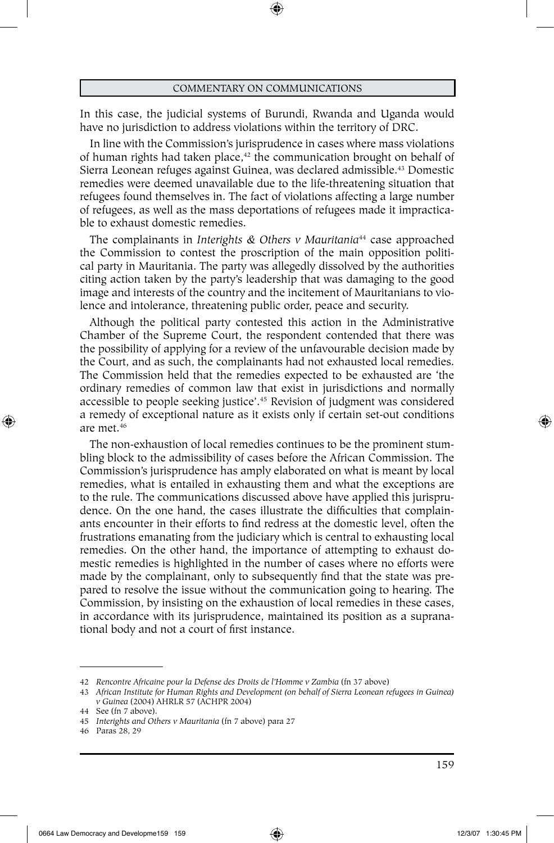In this case, the judicial systems of Burundi, Rwanda and Uganda would have no jurisdiction to address violations within the territory of DRC.

In line with the Commission's jurisprudence in cases where mass violations of human rights had taken place,<sup>42</sup> the communication brought on behalf of Sierra Leonean refuges against Guinea, was declared admissible.<sup>43</sup> Domestic remedies were deemed unavailable due to the life-threatening situation that refugees found themselves in. The fact of violations affecting a large number of refugees, as well as the mass deportations of refugees made it impracticable to exhaust domestic remedies.

The complainants in *Interights & Others v Mauritania*44 case approached the Commission to contest the proscription of the main opposition political party in Mauritania. The party was allegedly dissolved by the authorities citing action taken by the party's leadership that was damaging to the good image and interests of the country and the incitement of Mauritanians to violence and intolerance, threatening public order, peace and security.

Although the political party contested this action in the Administrative Chamber of the Supreme Court, the respondent contended that there was the possibility of applying for a review of the unfavourable decision made by the Court, and as such, the complainants had not exhausted local remedies. The Commission held that the remedies expected to be exhausted are 'the ordinary remedies of common law that exist in jurisdictions and normally accessible to people seeking justice'.45 Revision of judgment was considered a remedy of exceptional nature as it exists only if certain set-out conditions are met.46

The non-exhaustion of local remedies continues to be the prominent stumbling block to the admissibility of cases before the African Commission. The Commission's jurisprudence has amply elaborated on what is meant by local remedies, what is entailed in exhausting them and what the exceptions are to the rule. The communications discussed above have applied this jurisprudence. On the one hand, the cases illustrate the difficulties that complainants encounter in their efforts to find redress at the domestic level, often the frustrations emanating from the judiciary which is central to exhausting local remedies. On the other hand, the importance of attempting to exhaust domestic remedies is highlighted in the number of cases where no efforts were made by the complainant, only to subsequently find that the state was prepared to resolve the issue without the communication going to hearing. The Commission, by insisting on the exhaustion of local remedies in these cases, in accordance with its jurisprudence, maintained its position as a supranational body and not a court of first instance.

⊕

<sup>42</sup> *Rencontre Africaine pour la Defense des Droits de l'Homme v Zambia* (fn 37 above)

<sup>43</sup> *African Institute for Human Rights and Development (on behalf of Sierra Leonean refugees in Guinea) v Guinea* (2004) AHRLR 57 (ACHPR 2004)

<sup>44</sup> See (fn 7 above).

<sup>45</sup> *Interights and Others v Mauritania* (fn 7 above) para 27

<sup>46</sup> Paras 28, 29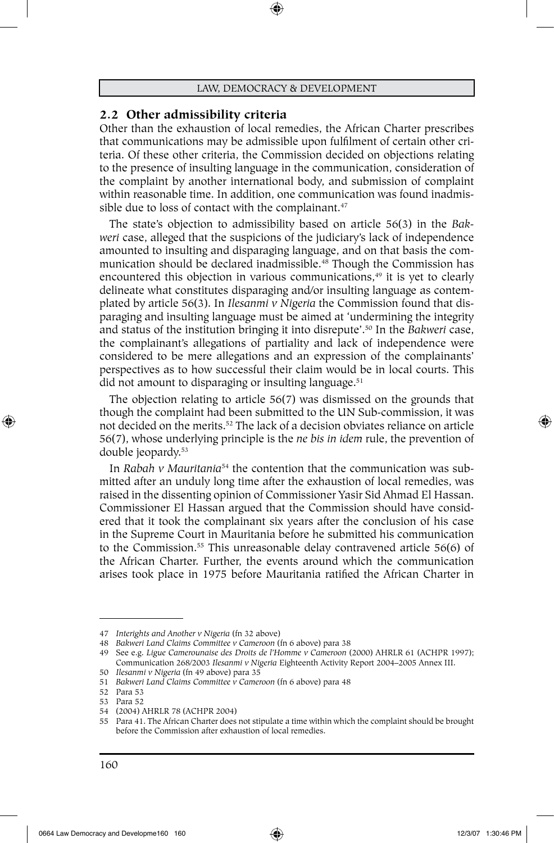#### **2.2 Other admissibility criteria**

Other than the exhaustion of local remedies, the African Charter prescribes that communications may be admissible upon fulfilment of certain other criteria. Of these other criteria, the Commission decided on objections relating to the presence of insulting language in the communication, consideration of the complaint by another international body, and submission of complaint within reasonable time. In addition, one communication was found inadmissible due to loss of contact with the complainant.<sup>47</sup>

The state's objection to admissibility based on article 56(3) in the *Bakweri* case, alleged that the suspicions of the judiciary's lack of independence amounted to insulting and disparaging language, and on that basis the communication should be declared inadmissible.<sup>48</sup> Though the Commission has encountered this objection in various communications,<sup>49</sup> it is yet to clearly delineate what constitutes disparaging and/or insulting language as contemplated by article 56(3). In *Ilesanmi v Nigeria* the Commission found that disparaging and insulting language must be aimed at 'undermining the integrity and status of the institution bringing it into disrepute'.50 In the *Bakweri* case, the complainant's allegations of partiality and lack of independence were considered to be mere allegations and an expression of the complainants' perspectives as to how successful their claim would be in local courts. This did not amount to disparaging or insulting language.<sup>51</sup>

The objection relating to article 56(7) was dismissed on the grounds that though the complaint had been submitted to the UN Sub-commission, it was not decided on the merits.52 The lack of a decision obviates reliance on article 56(7), whose underlying principle is the *ne bis in idem* rule, the prevention of double jeopardy.53

In *Rabah v Mauritania*54 the contention that the communication was submitted after an unduly long time after the exhaustion of local remedies, was raised in the dissenting opinion of Commissioner Yasir Sid Ahmad El Hassan. Commissioner El Hassan argued that the Commission should have considered that it took the complainant six years after the conclusion of his case in the Supreme Court in Mauritania before he submitted his communication to the Commission.<sup>55</sup> This unreasonable delay contravened article 56(6) of the African Charter. Further, the events around which the communication arises took place in 1975 before Mauritania ratified the African Charter in

<sup>47</sup> *Interights and Another v Nigeria* (fn 32 above)

<sup>48</sup> *Bakweri Land Claims Committee v Cameroon* (fn 6 above) para 38

<sup>49</sup> See e.g. *Ligue Camerounaise des Droits de l'Homme v Cameroon* (2000) AHRLR 61 (ACHPR 1997); Communication 268/2003 *Ilesanmi v Nigeria* Eighteenth Activity Report 2004–2005 Annex III.

<sup>50</sup> *Ilesanmi v Nigeria* (fn 49 above) para 35

<sup>51</sup> *Bakweri Land Claims Committee v Cameroon* (fn 6 above) para 48

<sup>52</sup> Para 53

<sup>53</sup> Para 52

<sup>54</sup> (2004) AHRLR 78 (ACHPR 2004)

<sup>55</sup> Para 41. The African Charter does not stipulate a time within which the complaint should be brought before the Commission after exhaustion of local remedies.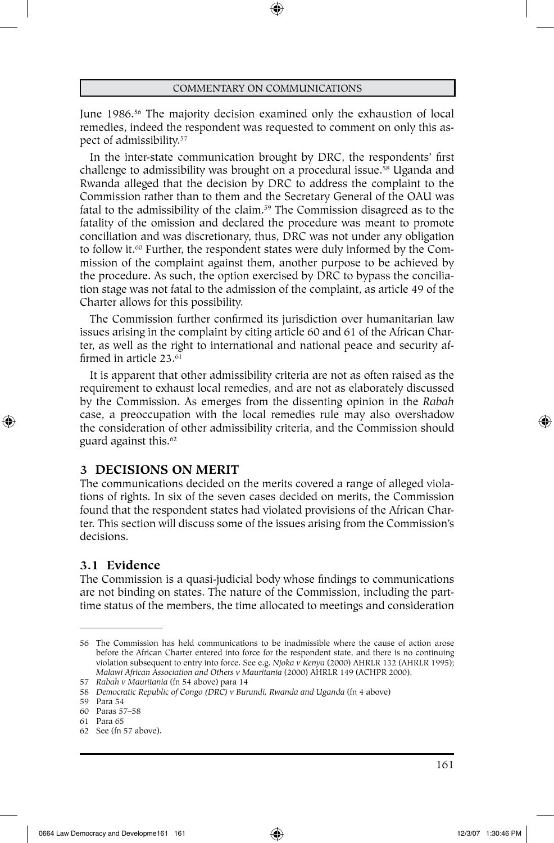⊕

June 1986.<sup>56</sup> The majority decision examined only the exhaustion of local remedies, indeed the respondent was requested to comment on only this aspect of admissibility.57

In the inter-state communication brought by DRC, the respondents' first challenge to admissibility was brought on a procedural issue.<sup>58</sup> Uganda and Rwanda alleged that the decision by DRC to address the complaint to the Commission rather than to them and the Secretary General of the OAU was fatal to the admissibility of the claim.59 The Commission disagreed as to the fatality of the omission and declared the procedure was meant to promote conciliation and was discretionary, thus, DRC was not under any obligation to follow it.<sup>60</sup> Further, the respondent states were duly informed by the Commission of the complaint against them, another purpose to be achieved by the procedure. As such, the option exercised by DRC to bypass the conciliation stage was not fatal to the admission of the complaint, as article 49 of the Charter allows for this possibility.

The Commission further confirmed its jurisdiction over humanitarian law issues arising in the complaint by citing article 60 and 61 of the African Charter, as well as the right to international and national peace and security affirmed in article 23.<sup>61</sup>

It is apparent that other admissibility criteria are not as often raised as the requirement to exhaust local remedies, and are not as elaborately discussed by the Commission. As emerges from the dissenting opinion in the *Rabah* case, a preoccupation with the local remedies rule may also overshadow the consideration of other admissibility criteria, and the Commission should guard against this.<sup>62</sup>

# **3 DECISIONS ON MERIT**

The communications decided on the merits covered a range of alleged violations of rights. In six of the seven cases decided on merits, the Commission found that the respondent states had violated provisions of the African Charter. This section will discuss some of the issues arising from the Commission's decisions.

# **3.1 Evidence**

⊕

The Commission is a quasi-judicial body whose findings to communications are not binding on states. The nature of the Commission, including the parttime status of the members, the time allocated to meetings and consideration

<sup>56</sup> The Commission has held communications to be inadmissible where the cause of action arose before the African Charter entered into force for the respondent state, and there is no continuing violation subsequent to entry into force. See e.g. *Njoka v Kenya* (2000) AHRLR 132 (AHRLR 1995); *Malawi African Association and Others v Mauritania* (2000) AHRLR 149 (ACHPR 2000).

<sup>57</sup> *Rabah v Mauritania* (fn 54 above) para 14

<sup>58</sup> *Democratic Republic of Congo (DRC) v Burundi, Rwanda and Uganda* (fn 4 above)

<sup>59</sup> Para 54

<sup>60</sup> Paras 57–58

<sup>61</sup> Para 65

<sup>62</sup> See (fn 57 above).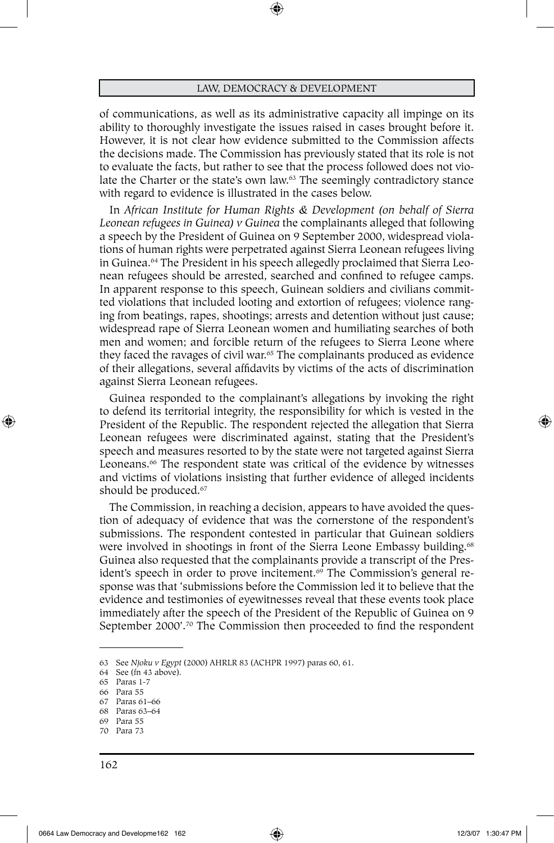of communications, as well as its administrative capacity all impinge on its ability to thoroughly investigate the issues raised in cases brought before it. However, it is not clear how evidence submitted to the Commission affects the decisions made. The Commission has previously stated that its role is not to evaluate the facts, but rather to see that the process followed does not violate the Charter or the state's own law.63 The seemingly contradictory stance with regard to evidence is illustrated in the cases below.

In *African Institute for Human Rights & Development (on behalf of Sierra Leonean refugees in Guinea) v Guinea* the complainants alleged that following a speech by the President of Guinea on 9 September 2000, widespread violations of human rights were perpetrated against Sierra Leonean refugees living in Guinea.64 The President in his speech allegedly proclaimed that Sierra Leonean refugees should be arrested, searched and confined to refugee camps. In apparent response to this speech, Guinean soldiers and civilians committed violations that included looting and extortion of refugees; violence ranging from beatings, rapes, shootings; arrests and detention without just cause; widespread rape of Sierra Leonean women and humiliating searches of both men and women; and forcible return of the refugees to Sierra Leone where they faced the ravages of civil war.<sup>65</sup> The complainants produced as evidence of their allegations, several affidavits by victims of the acts of discrimination against Sierra Leonean refugees.

Guinea responded to the complainant's allegations by invoking the right to defend its territorial integrity, the responsibility for which is vested in the President of the Republic. The respondent rejected the allegation that Sierra Leonean refugees were discriminated against, stating that the President's speech and measures resorted to by the state were not targeted against Sierra Leoneans.<sup>66</sup> The respondent state was critical of the evidence by witnesses and victims of violations insisting that further evidence of alleged incidents should be produced.<sup>67</sup>

The Commission, in reaching a decision, appears to have avoided the question of adequacy of evidence that was the cornerstone of the respondent's submissions. The respondent contested in particular that Guinean soldiers were involved in shootings in front of the Sierra Leone Embassy building.<sup>68</sup> Guinea also requested that the complainants provide a transcript of the President's speech in order to prove incitement.<sup>69</sup> The Commission's general response was that 'submissions before the Commission led it to believe that the evidence and testimonies of eyewitnesses reveal that these events took place immediately after the speech of the President of the Republic of Guinea on 9 September 2000'.70 The Commission then proceeded to find the respondent

68 Paras 63–64

⊕

<sup>63</sup> See *Njoku v Egypt* (2000) AHRLR 83 (ACHPR 1997) paras 60, 61.

<sup>64</sup> See (fn 43 above).

<sup>65</sup> Paras 1-7

<sup>66</sup> Para 55

<sup>67</sup> Paras 61–66

<sup>69</sup> Para 55

<sup>70</sup> Para 73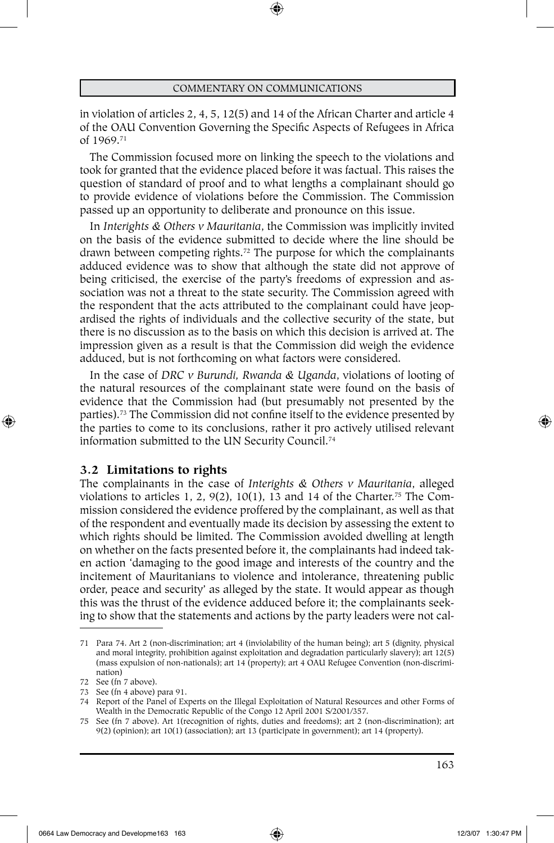in violation of articles 2, 4, 5, 12(5) and 14 of the African Charter and article 4 of the OAU Convention Governing the Specific Aspects of Refugees in Africa of 1969.71

The Commission focused more on linking the speech to the violations and took for granted that the evidence placed before it was factual. This raises the question of standard of proof and to what lengths a complainant should go to provide evidence of violations before the Commission. The Commission passed up an opportunity to deliberate and pronounce on this issue.

In *Interights & Others v Mauritania*, the Commission was implicitly invited on the basis of the evidence submitted to decide where the line should be drawn between competing rights.72 The purpose for which the complainants adduced evidence was to show that although the state did not approve of being criticised, the exercise of the party's freedoms of expression and association was not a threat to the state security. The Commission agreed with the respondent that the acts attributed to the complainant could have jeopardised the rights of individuals and the collective security of the state, but there is no discussion as to the basis on which this decision is arrived at. The impression given as a result is that the Commission did weigh the evidence adduced, but is not forthcoming on what factors were considered.

In the case of *DRC v Burundi, Rwanda & Uganda*, violations of looting of the natural resources of the complainant state were found on the basis of evidence that the Commission had (but presumably not presented by the parties).73 The Commission did not confine itself to the evidence presented by the parties to come to its conclusions, rather it pro actively utilised relevant information submitted to the UN Security Council.<sup>74</sup>

## **3.2 Limitations to rights**

⊕

The complainants in the case of *Interights & Others v Mauritania*, alleged violations to articles 1, 2, 9(2), 10(1), 13 and 14 of the Charter.<sup>75</sup> The Commission considered the evidence proffered by the complainant, as well as that of the respondent and eventually made its decision by assessing the extent to which rights should be limited. The Commission avoided dwelling at length on whether on the facts presented before it, the complainants had indeed taken action 'damaging to the good image and interests of the country and the incitement of Mauritanians to violence and intolerance, threatening public order, peace and security' as alleged by the state. It would appear as though this was the thrust of the evidence adduced before it; the complainants seeking to show that the statements and actions by the party leaders were not cal-

<sup>71</sup> Para 74. Art 2 (non-discrimination; art 4 (inviolability of the human being); art 5 (dignity, physical and moral integrity, prohibition against exploitation and degradation particularly slavery); art 12(5) (mass expulsion of non-nationals); art 14 (property); art 4 OAU Refugee Convention (non-discrimination)

<sup>72</sup> See (fn 7 above).

<sup>73</sup> See (fn 4 above) para 91.

<sup>74</sup> Report of the Panel of Experts on the Illegal Exploitation of Natural Resources and other Forms of Wealth in the Democratic Republic of the Congo 12 April 2001 S/2001/357.

<sup>75</sup> See (fn 7 above). Art 1(recognition of rights, duties and freedoms); art 2 (non-discrimination); art 9(2) (opinion); art 10(1) (association); art 13 (participate in government); art 14 (property).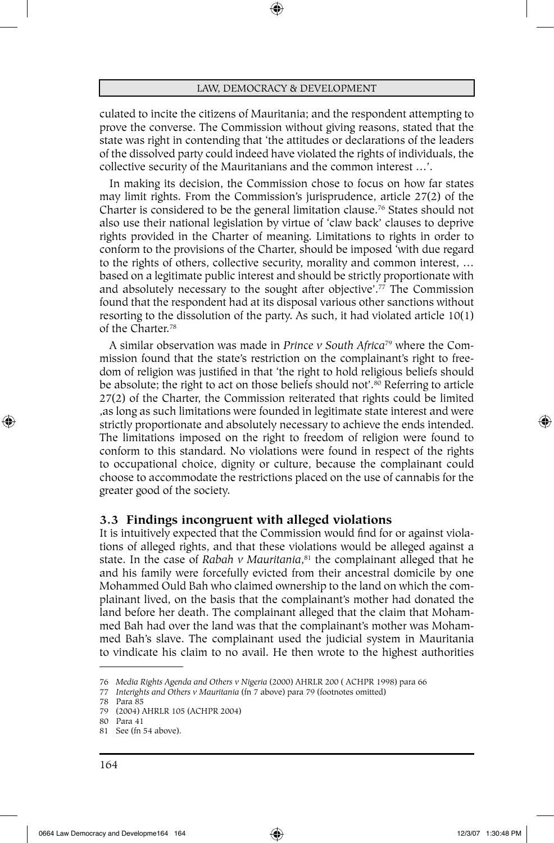⊕

culated to incite the citizens of Mauritania; and the respondent attempting to prove the converse. The Commission without giving reasons, stated that the state was right in contending that 'the attitudes or declarations of the leaders of the dissolved party could indeed have violated the rights of individuals, the collective security of the Mauritanians and the common interest …'.

In making its decision, the Commission chose to focus on how far states may limit rights. From the Commission's jurisprudence, article 27(2) of the Charter is considered to be the general limitation clause.76 States should not also use their national legislation by virtue of 'claw back' clauses to deprive rights provided in the Charter of meaning. Limitations to rights in order to conform to the provisions of the Charter, should be imposed 'with due regard to the rights of others, collective security, morality and common interest, … based on a legitimate public interest and should be strictly proportionate with and absolutely necessary to the sought after objective'.77 The Commission found that the respondent had at its disposal various other sanctions without resorting to the dissolution of the party. As such, it had violated article 10(1) of the Charter.78

A similar observation was made in *Prince v South Africa*79 where the Commission found that the state's restriction on the complainant's right to freedom of religion was justified in that 'the right to hold religious beliefs should be absolute; the right to act on those beliefs should not'.<sup>80</sup> Referring to article 27(2) of the Charter, the Commission reiterated that rights could be limited ,as long as such limitations were founded in legitimate state interest and were strictly proportionate and absolutely necessary to achieve the ends intended. The limitations imposed on the right to freedom of religion were found to conform to this standard. No violations were found in respect of the rights to occupational choice, dignity or culture, because the complainant could choose to accommodate the restrictions placed on the use of cannabis for the greater good of the society.

## **3.3 Findings incongruent with alleged violations**

It is intuitively expected that the Commission would find for or against violations of alleged rights, and that these violations would be alleged against a state. In the case of *Rabah v Mauritania*, 81 the complainant alleged that he and his family were forcefully evicted from their ancestral domicile by one Mohammed Ould Bah who claimed ownership to the land on which the complainant lived, on the basis that the complainant's mother had donated the land before her death. The complainant alleged that the claim that Mohammed Bah had over the land was that the complainant's mother was Mohammed Bah's slave. The complainant used the judicial system in Mauritania to vindicate his claim to no avail. He then wrote to the highest authorities

⊕

<sup>76</sup> *Media Rights Agenda and Others v Nigeria* (2000) AHRLR 200 ( ACHPR 1998) para 66

<sup>77</sup> *Interights and Others v Mauritania* (fn 7 above) para 79 (footnotes omitted)

<sup>78</sup> Para 85

<sup>79</sup> (2004) AHRLR 105 (ACHPR 2004)

<sup>80</sup> Para 41

<sup>81</sup> See (fn 54 above).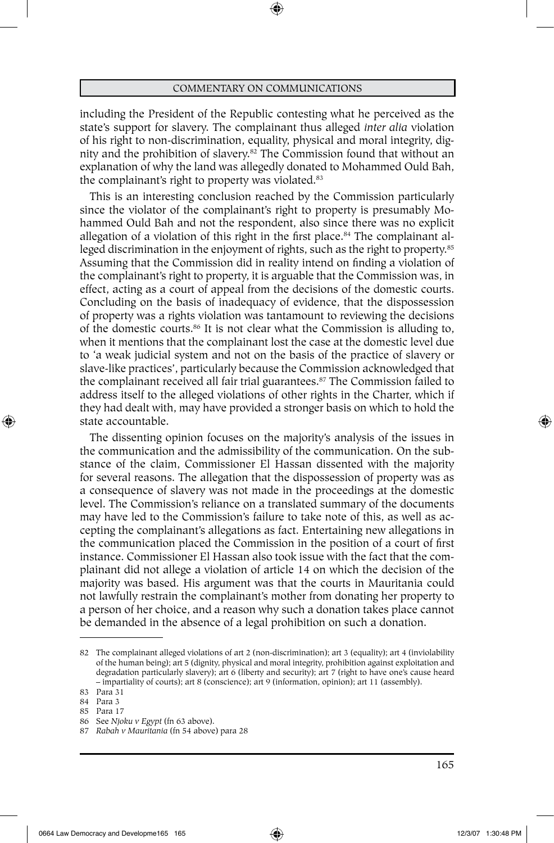including the President of the Republic contesting what he perceived as the state's support for slavery. The complainant thus alleged *inter alia* violation of his right to non-discrimination, equality, physical and moral integrity, dignity and the prohibition of slavery.82 The Commission found that without an explanation of why the land was allegedly donated to Mohammed Ould Bah, the complainant's right to property was violated.83

This is an interesting conclusion reached by the Commission particularly since the violator of the complainant's right to property is presumably Mohammed Ould Bah and not the respondent, also since there was no explicit allegation of a violation of this right in the first place.<sup>84</sup> The complainant alleged discrimination in the enjoyment of rights, such as the right to property.85 Assuming that the Commission did in reality intend on finding a violation of the complainant's right to property, it is arguable that the Commission was, in effect, acting as a court of appeal from the decisions of the domestic courts. Concluding on the basis of inadequacy of evidence, that the dispossession of property was a rights violation was tantamount to reviewing the decisions of the domestic courts.86 It is not clear what the Commission is alluding to, when it mentions that the complainant lost the case at the domestic level due to 'a weak judicial system and not on the basis of the practice of slavery or slave-like practices', particularly because the Commission acknowledged that the complainant received all fair trial guarantees.<sup>87</sup> The Commission failed to address itself to the alleged violations of other rights in the Charter, which if they had dealt with, may have provided a stronger basis on which to hold the state accountable.

The dissenting opinion focuses on the majority's analysis of the issues in the communication and the admissibility of the communication. On the substance of the claim, Commissioner El Hassan dissented with the majority for several reasons. The allegation that the dispossession of property was as a consequence of slavery was not made in the proceedings at the domestic level. The Commission's reliance on a translated summary of the documents may have led to the Commission's failure to take note of this, as well as accepting the complainant's allegations as fact. Entertaining new allegations in the communication placed the Commission in the position of a court of first instance. Commissioner El Hassan also took issue with the fact that the complainant did not allege a violation of article 14 on which the decision of the majority was based. His argument was that the courts in Mauritania could not lawfully restrain the complainant's mother from donating her property to a person of her choice, and a reason why such a donation takes place cannot be demanded in the absence of a legal prohibition on such a donation.

⊕

165

<sup>82</sup> The complainant alleged violations of art 2 (non-discrimination); art 3 (equality); art 4 (inviolability of the human being); art 5 (dignity, physical and moral integrity, prohibition against exploitation and degradation particularly slavery); art 6 (liberty and security); art 7 (right to have one's cause heard – impartiality of courts); art 8 (conscience); art 9 (information, opinion); art 11 (assembly).

<sup>83</sup> Para 31

<sup>84</sup> Para 3

<sup>85</sup> Para 17

<sup>86</sup> See *Njoku v Egypt* (fn 63 above).

<sup>87</sup> *Rabah v Mauritania* (fn 54 above) para 28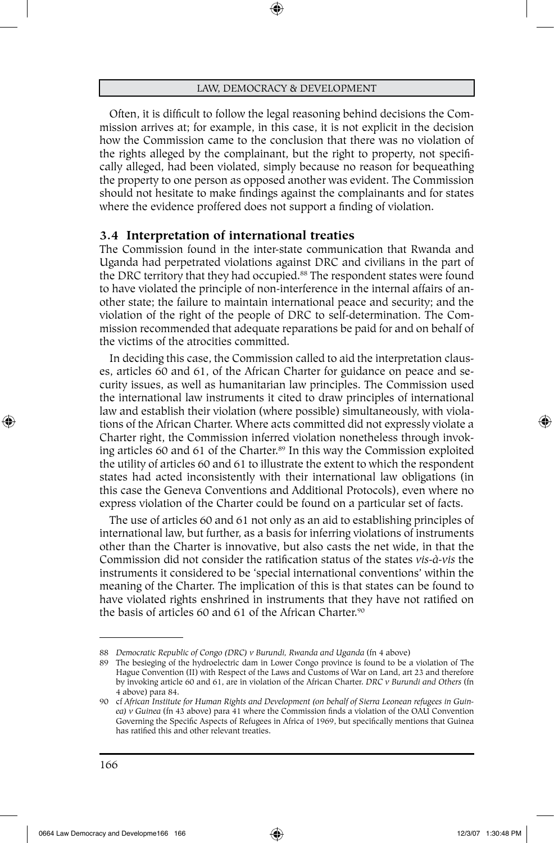Often, it is difficult to follow the legal reasoning behind decisions the Commission arrives at; for example, in this case, it is not explicit in the decision how the Commission came to the conclusion that there was no violation of the rights alleged by the complainant, but the right to property, not specifically alleged, had been violated, simply because no reason for bequeathing the property to one person as opposed another was evident. The Commission should not hesitate to make findings against the complainants and for states where the evidence proffered does not support a finding of violation.

# **3.4 Interpretation of international treaties**

The Commission found in the inter-state communication that Rwanda and Uganda had perpetrated violations against DRC and civilians in the part of the DRC territory that they had occupied.<sup>88</sup> The respondent states were found to have violated the principle of non-interference in the internal affairs of another state; the failure to maintain international peace and security; and the violation of the right of the people of DRC to self-determination. The Commission recommended that adequate reparations be paid for and on behalf of the victims of the atrocities committed.

In deciding this case, the Commission called to aid the interpretation clauses, articles 60 and 61, of the African Charter for guidance on peace and security issues, as well as humanitarian law principles. The Commission used the international law instruments it cited to draw principles of international law and establish their violation (where possible) simultaneously, with violations of the African Charter. Where acts committed did not expressly violate a Charter right, the Commission inferred violation nonetheless through invoking articles 60 and 61 of the Charter.<sup>89</sup> In this way the Commission exploited the utility of articles 60 and 61 to illustrate the extent to which the respondent states had acted inconsistently with their international law obligations (in this case the Geneva Conventions and Additional Protocols), even where no express violation of the Charter could be found on a particular set of facts.

The use of articles 60 and 61 not only as an aid to establishing principles of international law, but further, as a basis for inferring violations of instruments other than the Charter is innovative, but also casts the net wide, in that the Commission did not consider the ratification status of the states *vis-à-vis* the instruments it considered to be 'special international conventions' within the meaning of the Charter. The implication of this is that states can be found to have violated rights enshrined in instruments that they have not ratified on the basis of articles 60 and 61 of the African Charter. $90$ 

<sup>88</sup> *Democratic Republic of Congo (DRC) v Burundi, Rwanda and Uganda* (fn 4 above)

<sup>89</sup> The besieging of the hydroelectric dam in Lower Congo province is found to be a violation of The Hague Convention (II) with Respect of the Laws and Customs of War on Land, art 23 and therefore by invoking article 60 and 61, are in violation of the African Charter. *DRC v Burundi and Others* (fn 4 above) para 84.

<sup>90</sup> cf *African Institute for Human Rights and Development (on behalf of Sierra Leonean refugees in Guinea) v Guinea* (fn 43 above) para 41 where the Commission finds a violation of the OAU Convention Governing the Specific Aspects of Refugees in Africa of 1969, but specifically mentions that Guinea has ratified this and other relevant treaties.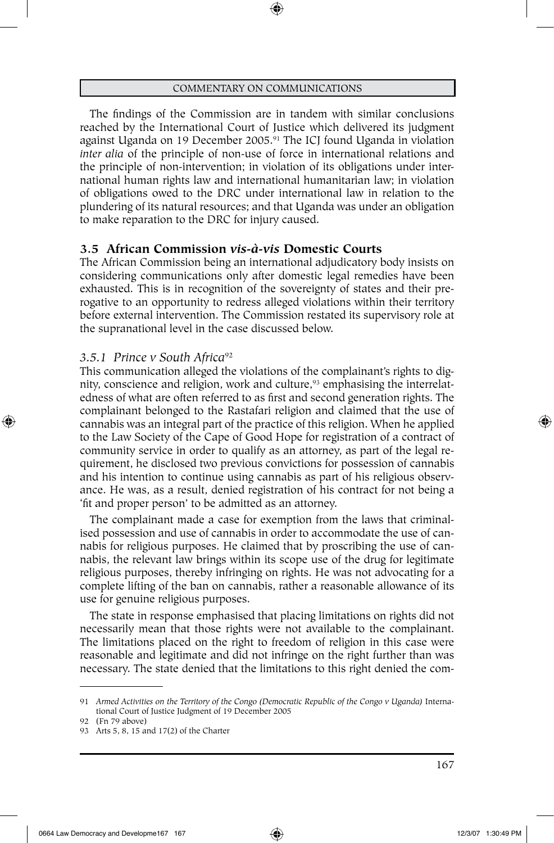The findings of the Commission are in tandem with similar conclusions reached by the International Court of Justice which delivered its judgment against Uganda on 19 December 2005.<sup>91</sup> The ICJ found Uganda in violation *inter alia* of the principle of non-use of force in international relations and the principle of non-intervention; in violation of its obligations under international human rights law and international humanitarian law; in violation of obligations owed to the DRC under international law in relation to the plundering of its natural resources; and that Uganda was under an obligation to make reparation to the DRC for injury caused.

## **3.5 African Commission** *vis-à-vis* **Domestic Courts**

The African Commission being an international adjudicatory body insists on considering communications only after domestic legal remedies have been exhausted. This is in recognition of the sovereignty of states and their prerogative to an opportunity to redress alleged violations within their territory before external intervention. The Commission restated its supervisory role at the supranational level in the case discussed below.

#### *3.5.1 Prince v South Africa*<sup>92</sup>

⊕

This communication alleged the violations of the complainant's rights to dignity, conscience and religion, work and culture,<sup>93</sup> emphasising the interrelatedness of what are often referred to as first and second generation rights. The complainant belonged to the Rastafari religion and claimed that the use of cannabis was an integral part of the practice of this religion. When he applied to the Law Society of the Cape of Good Hope for registration of a contract of community service in order to qualify as an attorney, as part of the legal requirement, he disclosed two previous convictions for possession of cannabis and his intention to continue using cannabis as part of his religious observance. He was, as a result, denied registration of his contract for not being a 'fit and proper person' to be admitted as an attorney.

The complainant made a case for exemption from the laws that criminalised possession and use of cannabis in order to accommodate the use of cannabis for religious purposes. He claimed that by proscribing the use of cannabis, the relevant law brings within its scope use of the drug for legitimate religious purposes, thereby infringing on rights. He was not advocating for a complete lifting of the ban on cannabis, rather a reasonable allowance of its use for genuine religious purposes.

The state in response emphasised that placing limitations on rights did not necessarily mean that those rights were not available to the complainant. The limitations placed on the right to freedom of religion in this case were reasonable and legitimate and did not infringe on the right further than was necessary. The state denied that the limitations to this right denied the com-

<sup>91</sup> *Armed Activities on the Territory of the Congo (Democratic Republic of the Congo v Uganda)* International Court of Justice Judgment of 19 December 2005

<sup>92</sup> (Fn 79 above)

<sup>93</sup> Arts 5, 8, 15 and 17(2) of the Charter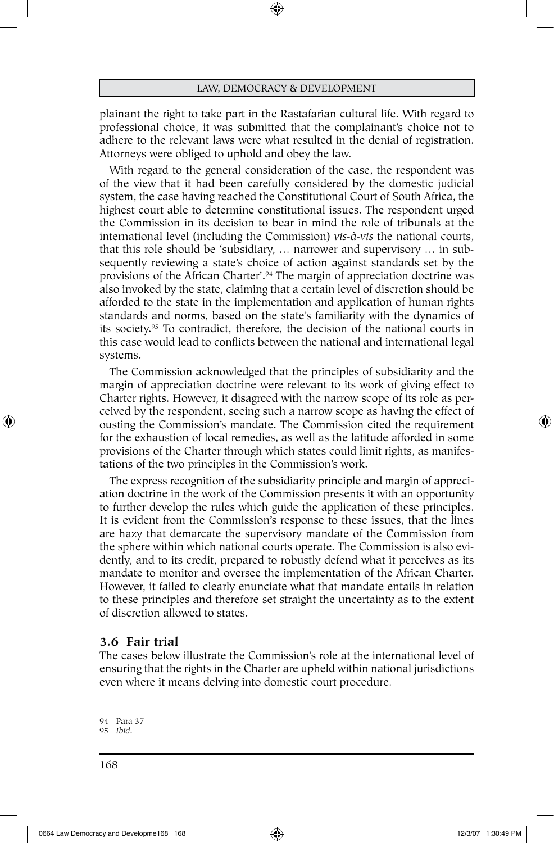⊕

plainant the right to take part in the Rastafarian cultural life. With regard to professional choice, it was submitted that the complainant's choice not to adhere to the relevant laws were what resulted in the denial of registration. Attorneys were obliged to uphold and obey the law.

With regard to the general consideration of the case, the respondent was of the view that it had been carefully considered by the domestic judicial system, the case having reached the Constitutional Court of South Africa, the highest court able to determine constitutional issues. The respondent urged the Commission in its decision to bear in mind the role of tribunals at the international level (including the Commission) *vis-à-vis* the national courts, that this role should be 'subsidiary, … narrower and supervisory … in subsequently reviewing a state's choice of action against standards set by the provisions of the African Charter'.94 The margin of appreciation doctrine was also invoked by the state, claiming that a certain level of discretion should be afforded to the state in the implementation and application of human rights standards and norms, based on the state's familiarity with the dynamics of its society.95 To contradict, therefore, the decision of the national courts in this case would lead to conflicts between the national and international legal systems.

The Commission acknowledged that the principles of subsidiarity and the margin of appreciation doctrine were relevant to its work of giving effect to Charter rights. However, it disagreed with the narrow scope of its role as perceived by the respondent, seeing such a narrow scope as having the effect of ousting the Commission's mandate. The Commission cited the requirement for the exhaustion of local remedies, as well as the latitude afforded in some provisions of the Charter through which states could limit rights, as manifestations of the two principles in the Commission's work.

The express recognition of the subsidiarity principle and margin of appreciation doctrine in the work of the Commission presents it with an opportunity to further develop the rules which guide the application of these principles. It is evident from the Commission's response to these issues, that the lines are hazy that demarcate the supervisory mandate of the Commission from the sphere within which national courts operate. The Commission is also evidently, and to its credit, prepared to robustly defend what it perceives as its mandate to monitor and oversee the implementation of the African Charter. However, it failed to clearly enunciate what that mandate entails in relation to these principles and therefore set straight the uncertainty as to the extent of discretion allowed to states.

## **3.6 Fair trial**

The cases below illustrate the Commission's role at the international level of ensuring that the rights in the Charter are upheld within national jurisdictions even where it means delving into domestic court procedure.

⊕

<sup>94</sup> Para 37

<sup>95</sup> *Ibid*.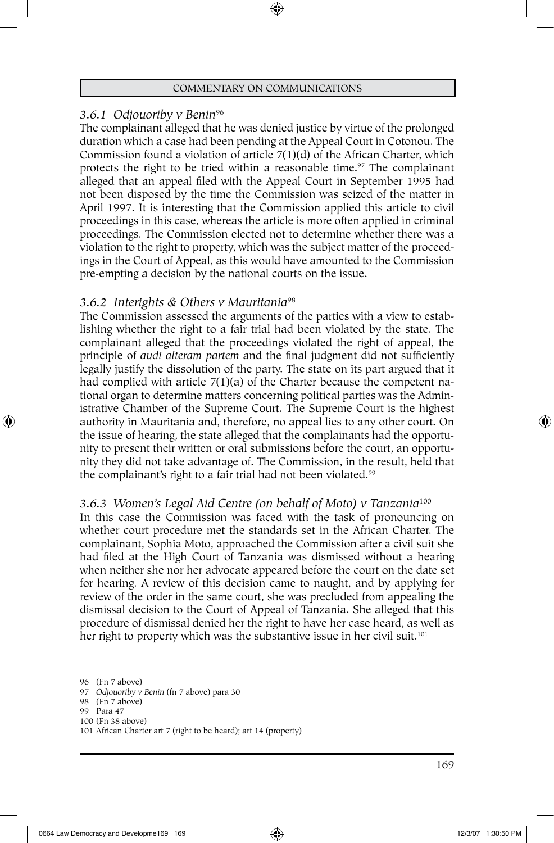## *3.6.1 Odjouoriby v Benin*<sup>96</sup>

The complainant alleged that he was denied justice by virtue of the prolonged duration which a case had been pending at the Appeal Court in Cotonou. The Commission found a violation of article 7(1)(d) of the African Charter, which protects the right to be tried within a reasonable time.<sup>97</sup> The complainant alleged that an appeal filed with the Appeal Court in September 1995 had not been disposed by the time the Commission was seized of the matter in April 1997. It is interesting that the Commission applied this article to civil proceedings in this case, whereas the article is more often applied in criminal proceedings. The Commission elected not to determine whether there was a violation to the right to property, which was the subject matter of the proceedings in the Court of Appeal, as this would have amounted to the Commission pre-empting a decision by the national courts on the issue.

## *3.6.2 Interights & Others v Mauritania*<sup>98</sup>

The Commission assessed the arguments of the parties with a view to establishing whether the right to a fair trial had been violated by the state. The complainant alleged that the proceedings violated the right of appeal, the principle of *audi alteram partem* and the final judgment did not sufficiently legally justify the dissolution of the party. The state on its part argued that it had complied with article 7(1)(a) of the Charter because the competent national organ to determine matters concerning political parties was the Administrative Chamber of the Supreme Court. The Supreme Court is the highest authority in Mauritania and, therefore, no appeal lies to any other court. On the issue of hearing, the state alleged that the complainants had the opportunity to present their written or oral submissions before the court, an opportunity they did not take advantage of. The Commission, in the result, held that the complainant's right to a fair trial had not been violated.<sup>99</sup>

# *3.6.3 Women's Legal Aid Centre (on behalf of Moto) v Tanzania*<sup>100</sup>

In this case the Commission was faced with the task of pronouncing on whether court procedure met the standards set in the African Charter. The complainant, Sophia Moto, approached the Commission after a civil suit she had filed at the High Court of Tanzania was dismissed without a hearing when neither she nor her advocate appeared before the court on the date set for hearing. A review of this decision came to naught, and by applying for review of the order in the same court, she was precluded from appealing the dismissal decision to the Court of Appeal of Tanzania. She alleged that this procedure of dismissal denied her the right to have her case heard, as well as her right to property which was the substantive issue in her civil suit.<sup>101</sup>

- 98 (Fn 7 above)
- 99 Para 47

⊕

<sup>96</sup> (Fn 7 above)

<sup>97</sup> *Odjouoriby v Benin* (fn 7 above) para 30

<sup>100</sup> (Fn 38 above)

<sup>101</sup> African Charter art 7 (right to be heard); art 14 (property)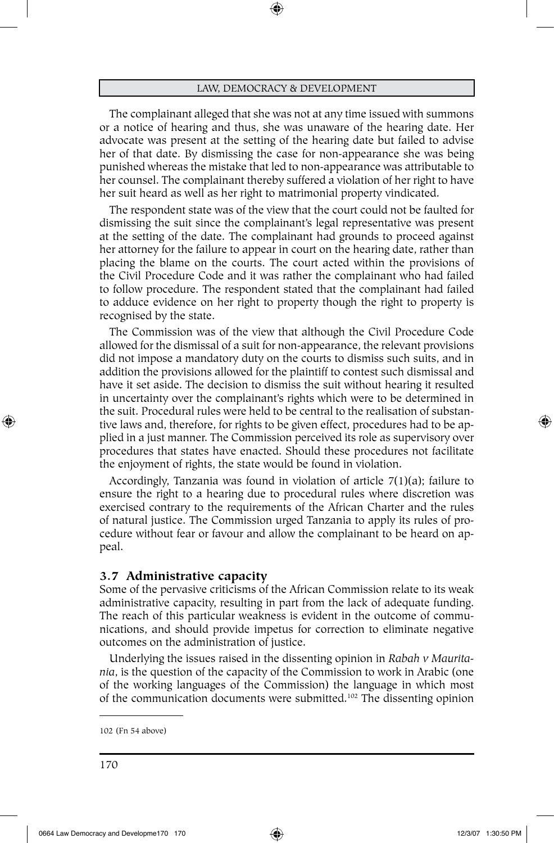⊕

The complainant alleged that she was not at any time issued with summons or a notice of hearing and thus, she was unaware of the hearing date. Her advocate was present at the setting of the hearing date but failed to advise her of that date. By dismissing the case for non-appearance she was being punished whereas the mistake that led to non-appearance was attributable to her counsel. The complainant thereby suffered a violation of her right to have her suit heard as well as her right to matrimonial property vindicated.

The respondent state was of the view that the court could not be faulted for dismissing the suit since the complainant's legal representative was present at the setting of the date. The complainant had grounds to proceed against her attorney for the failure to appear in court on the hearing date, rather than placing the blame on the courts. The court acted within the provisions of the Civil Procedure Code and it was rather the complainant who had failed to follow procedure. The respondent stated that the complainant had failed to adduce evidence on her right to property though the right to property is recognised by the state.

The Commission was of the view that although the Civil Procedure Code allowed for the dismissal of a suit for non-appearance, the relevant provisions did not impose a mandatory duty on the courts to dismiss such suits, and in addition the provisions allowed for the plaintiff to contest such dismissal and have it set aside. The decision to dismiss the suit without hearing it resulted in uncertainty over the complainant's rights which were to be determined in the suit. Procedural rules were held to be central to the realisation of substantive laws and, therefore, for rights to be given effect, procedures had to be applied in a just manner. The Commission perceived its role as supervisory over procedures that states have enacted. Should these procedures not facilitate the enjoyment of rights, the state would be found in violation.

Accordingly, Tanzania was found in violation of article 7(1)(a); failure to ensure the right to a hearing due to procedural rules where discretion was exercised contrary to the requirements of the African Charter and the rules of natural justice. The Commission urged Tanzania to apply its rules of procedure without fear or favour and allow the complainant to be heard on appeal.

## **3.7 Administrative capacity**

Some of the pervasive criticisms of the African Commission relate to its weak administrative capacity, resulting in part from the lack of adequate funding. The reach of this particular weakness is evident in the outcome of communications, and should provide impetus for correction to eliminate negative outcomes on the administration of justice.

Underlying the issues raised in the dissenting opinion in *Rabah v Mauritania*, is the question of the capacity of the Commission to work in Arabic (one of the working languages of the Commission) the language in which most of the communication documents were submitted.102 The dissenting opinion

⊕

<sup>102</sup> (Fn 54 above)